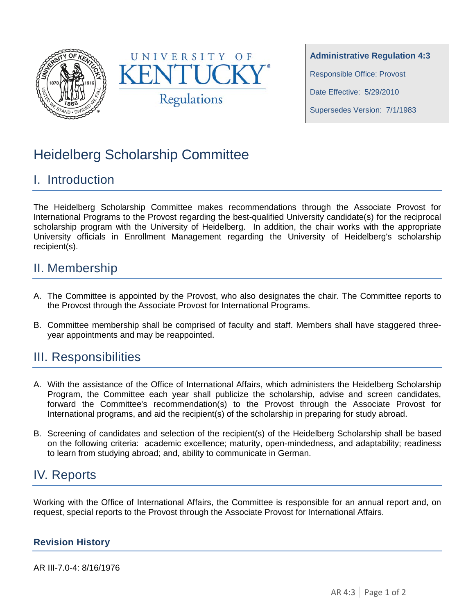



**Administrative Regulation 4:3** Responsible Office: Provost Date Effective: 5/29/2010 Supersedes Version: 7/1/1983

# Heidelberg Scholarship Committee

# I. Introduction

The Heidelberg Scholarship Committee makes recommendations through the Associate Provost for International Programs to the Provost regarding the best-qualified University candidate(s) for the reciprocal scholarship program with the University of Heidelberg. In addition, the chair works with the appropriate University officials in Enrollment Management regarding the University of Heidelberg's scholarship recipient(s).

### II. Membership

- A. The Committee is appointed by the Provost, who also designates the chair. The Committee reports to the Provost through the Associate Provost for International Programs.
- B. Committee membership shall be comprised of faculty and staff. Members shall have staggered threeyear appointments and may be reappointed.

#### III. Responsibilities

- A. With the assistance of the Office of International Affairs, which administers the Heidelberg Scholarship Program, the Committee each year shall publicize the scholarship, advise and screen candidates, forward the Committee's recommendation(s) to the Provost through the Associate Provost for International programs, and aid the recipient(s) of the scholarship in preparing for study abroad.
- B. Screening of candidates and selection of the recipient(s) of the Heidelberg Scholarship shall be based on the following criteria: academic excellence; maturity, open-mindedness, and adaptability; readiness to learn from studying abroad; and, ability to communicate in German.

## IV. Reports

Working with the Office of International Affairs, the Committee is responsible for an annual report and, on request, special reports to the Provost through the Associate Provost for International Affairs.

#### **Revision History**

AR III-7.0-4: 8/16/1976